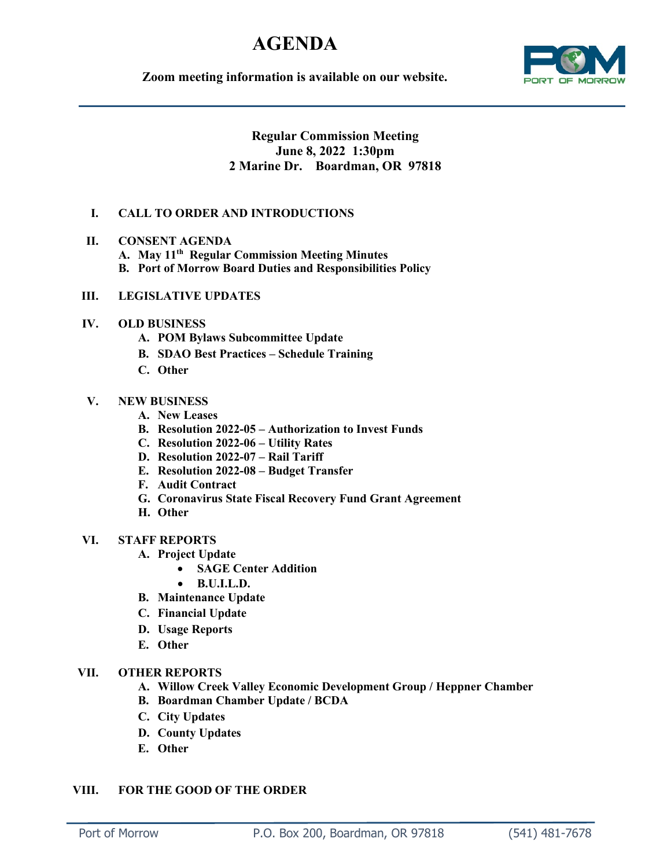# **AGENDA**

**Zoom meeting information is available on our website.**



## **Regular Commission Meeting June 8, 2022 1:30pm 2 Marine Dr. Boardman, OR 97818**

## **I. CALL TO ORDER AND INTRODUCTIONS**

- **II. CONSENT AGENDA**
	- **A. May 11th Regular Commission Meeting Minutes**
	- **B. Port of Morrow Board Duties and Responsibilities Policy**

#### **III. LEGISLATIVE UPDATES**

## **IV. OLD BUSINESS**

- **A. POM Bylaws Subcommittee Update**
- **B. SDAO Best Practices – Schedule Training**
- **C. Other**

## **V. NEW BUSINESS**

- **A. New Leases**
- **B. Resolution 2022-05 – Authorization to Invest Funds**
- **C. Resolution 2022-06 – Utility Rates**
- **D. Resolution 2022-07 – Rail Tariff**
- **E. Resolution 2022-08 – Budget Transfer**
- **F. Audit Contract**
- **G. Coronavirus State Fiscal Recovery Fund Grant Agreement**
- **H. Other**

#### **VI. STAFF REPORTS**

- **A. Project Update**
	- **SAGE Center Addition**
	- **B.U.I.L.D.**
- **B. Maintenance Update**
- **C. Financial Update**
- **D. Usage Reports**
- **E. Other**

#### **VII. OTHER REPORTS**

- **A. Willow Creek Valley Economic Development Group / Heppner Chamber**
- **B. Boardman Chamber Update / BCDA**
- **C. City Updates**
- **D. County Updates**
- **E. Other**

## **VIII. FOR THE GOOD OF THE ORDER**